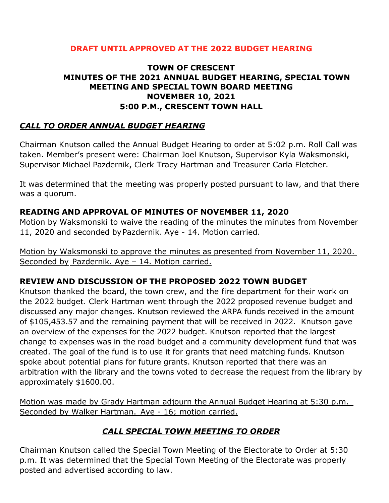### **DRAFT UNTIL APPROVED AT THE 2022 BUDGET HEARING**

### **TOWN OF CRESCENT MINUTES OF THE 2021 ANNUAL BUDGET HEARING, SPECIAL TOWN MEETING AND SPECIAL TOWN BOARD MEETING NOVEMBER 10, 2021 5:00 P.M., CRESCENT TOWN HALL**

## *CALL TO ORDER ANNUAL BUDGET HEARING*

Chairman Knutson called the Annual Budget Hearing to order at 5:02 p.m. Roll Call was taken. Member's present were: Chairman Joel Knutson, Supervisor Kyla Waksmonski, Supervisor Michael Pazdernik, Clerk Tracy Hartman and Treasurer Carla Fletcher.

It was determined that the meeting was properly posted pursuant to law, and that there was a quorum.

### **READING AND APPROVAL OF MINUTES OF NOVEMBER 11, 2020**

Motion by Waksmonski to waive the reading of the minutes the minutes from November 11, 2020 and seconded byPazdernik. Aye - 14. Motion carried.

Motion by Waksmonski to approve the minutes as presented from November 11, 2020. Seconded by Pazdernik. Aye – 14. Motion carried.

### **REVIEW AND DISCUSSION OF THE PROPOSED 2022 TOWN BUDGET**

Knutson thanked the board, the town crew, and the fire department for their work on the 2022 budget. Clerk Hartman went through the 2022 proposed revenue budget and discussed any major changes. Knutson reviewed the ARPA funds received in the amount of \$105,453.57 and the remaining payment that will be received in 2022. Knutson gave an overview of the expenses for the 2022 budget. Knutson reported that the largest change to expenses was in the road budget and a community development fund that was created. The goal of the fund is to use it for grants that need matching funds. Knutson spoke about potential plans for future grants. Knutson reported that there was an arbitration with the library and the towns voted to decrease the request from the library by approximately \$1600.00.

Motion was made by Grady Hartman adjourn the Annual Budget Hearing at 5:30 p.m. Seconded by Walker Hartman. Aye - 16; motion carried.

### *CALL SPECIAL TOWN MEETING TO ORDER*

Chairman Knutson called the Special Town Meeting of the Electorate to Order at 5:30 p.m. It was determined that the Special Town Meeting of the Electorate was properly posted and advertised according to law.